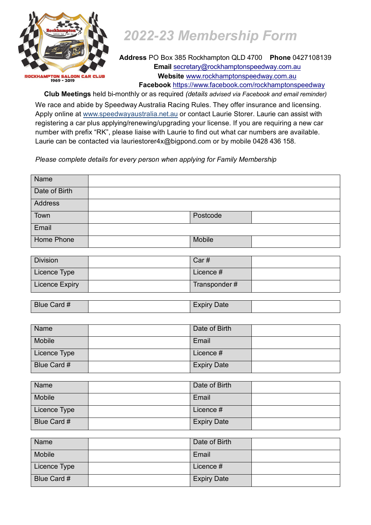

## *2022-23 Membership Form*

**Address** PO Box 385 Rockhampton QLD 4700 **Phone** 0427108139 **Email** secretary[@rockhamptonspeedway.com.au](mailto:admin@rockhamptonspeedway.com.au) **Website** [www.rockhamptonspeedway.com.au](http://www.rockhamptonspeedway.com.au/) **Facebook** <https://www.facebook.com/rockhamptonspeedway>

**Club Meetings** held bi-monthly or as required *(details advised via Facebook and email reminder)*

We race and abide by Speedway Australia Racing Rules. They offer insurance and licensing. Apply online at [www.speedwayaustralia.net.au](http://www.speedwayaustralia.net.au/) or contact Laurie Storer. Laurie can assist with registering a car plus applying/renewing/upgrading your license. If you are requiring a new car number with prefix "RK", please liaise with Laurie to find out what car numbers are available. Laurie can be contacted via lauriestorer4x@bigpond.com or by mobile 0428 436 158.

*Please complete details for every person when applying for Family Membership*

| Name           |          |  |
|----------------|----------|--|
| Date of Birth  |          |  |
| <b>Address</b> |          |  |
| Town           | Postcode |  |
| Email          |          |  |
| Home Phone     | Mobile   |  |

| <b>Division</b> | Car#         |  |
|-----------------|--------------|--|
| Licence Type    | Licence #    |  |
| Licence Expiry  | Transponder# |  |

| $1 \; \mu$<br><b>Blue</b><br>Card # |  | Date<br>$\overline{\phantom{a}}$<br>1 V Z<br>EXDII |  |
|-------------------------------------|--|----------------------------------------------------|--|
|-------------------------------------|--|----------------------------------------------------|--|

| <b>Name</b>        | Date of Birth      |  |
|--------------------|--------------------|--|
| Mobile             | Email              |  |
| Licence Type       | Licence #          |  |
| <b>Blue Card #</b> | <b>Expiry Date</b> |  |

| Name         | Date of Birth      |  |
|--------------|--------------------|--|
| Mobile       | Email              |  |
| Licence Type | Licence #          |  |
| Blue Card #  | <b>Expiry Date</b> |  |

| Name         | Date of Birth      |  |
|--------------|--------------------|--|
| Mobile       | Email              |  |
| Licence Type | Licence #          |  |
| Blue Card #  | <b>Expiry Date</b> |  |